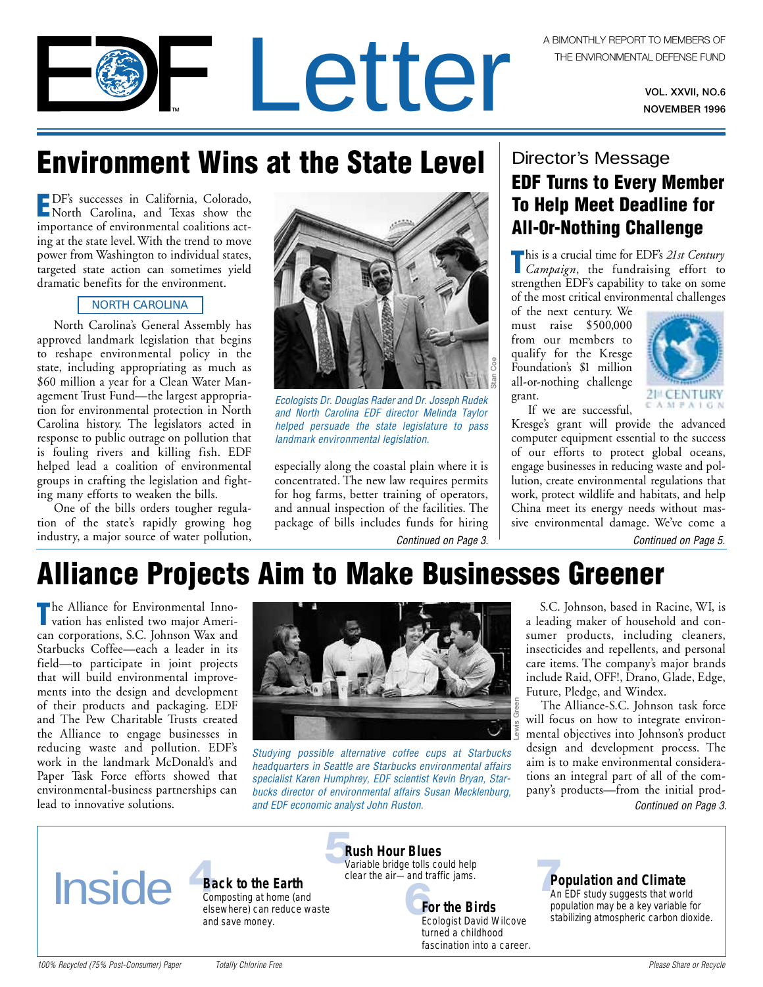VOL. XXVII, NO.6 NOVEMBER 1996

## **Environment Wins at the State Level**

**E**DF's successes in California, Colorado, North Carolina, and Texas show the importance of environmental coalitions acting at the state level. With the trend to move power from Washington to individual states, targeted state action can sometimes yield dramatic benefits for the environment.

#### NORTH CAROLINA

North Carolina's General Assembly has approved landmark legislation that begins to reshape environmental policy in the state, including appropriating as much as \$60 million a year for a Clean Water Management Trust Fund—the largest appropriation for environmental protection in North Carolina history. The legislators acted in response to public outrage on pollution that is fouling rivers and killing fish. EDF helped lead a coalition of environmental groups in crafting the legislation and fighting many efforts to weaken the bills.

One of the bills orders tougher regulation of the state's rapidly growing hog industry, a major source of water pollution,



Letter

Ecologists Dr. Douglas Rader and Dr. Joseph Rudek and North Carolina EDF director Melinda Taylor helped persuade the state legislature to pass landmark environmental legislation.

[Continued on Page 3.](#page-2-0) especially along the coastal plain where it is concentrated. The new law requires permits for hog farms, better training of operators, and annual inspection of the facilities. The package of bills includes funds for hiring

### Director's Message

## **EDF Turns to Every Member To Help Meet Deadline for All-0r-Nothing Challenge**

**T**his is a crucial time for EDF's *21st Century Campaign*, the fundraising effort to strengthen EDF's capability to take on some of the most critical environmental challenges

of the next century. We must raise \$500,000 from our members to qualify for the Kresge Foundation's \$1 million all-or-nothing challenge grant.



If we are successful, Kresge's grant will provide the advanced computer equipment essential to the success of our efforts to protect global oceans, engage businesses in reducing waste and pollution, create environmental regulations that work, protect wildlife and habitats, and help China meet its energy needs without massive environmental damage. We've come a

[Continued on Page 5.](#page-4-0)

## **Alliance Projects Aim to Make Businesses Greener**

**T**he Alliance for Environmental Inno-vation has enlisted two major American corporations, S.C. Johnson Wax and Starbucks Coffee—each a leader in its field—to participate in joint projects that will build environmental improvements into the design and development of their products and packaging. EDF and The Pew Charitable Trusts created the Alliance to engage businesses in reducing waste and pollution. EDF's work in the landmark McDonald's and Paper Task Force efforts showed that environmental-business partnerships can lead to innovative solutions.



Studying possible alternative coffee cups at Starbucks headquarters in Seattle are Starbucks environmental affairs specialist Karen Humphrey, EDF scientist Kevin Bryan, Starbucks director of environmental affairs Susan Mecklenburg, and EDF economic analyst John Ruston.

S.C. Johnson, based in Racine, WI, is a leading maker of household and consumer products, including cleaners, insecticides and repellents, and personal care items. The company's major brands include Raid, OFF!, Drano, Glade, Edge, Future, Pledge, and Windex.

The Alliance-S.C. Johnson task force will focus on how to integrate environmental objectives into Johnson's product design and development process. The aim is to make environmental considerations an integral part of all of the company's products—from the initial prod-[Continued on Page 3.](#page-2-0)



**[Back to the Earth](#page-3-0)** Composting at home (and elsewhere) can reduce waste and save money.

**Rush Hour Blues** [Variable bridge tolls could help](#page-4-0) clear the air—and traffic jams.

**e** tolls could help<br>
and traffic jams.<br> **For the Birds**<br> **Frederist David Wilcove** sta **For the Birds** Ecologist David Wilcove turned a childhood fascination into a career.

### **[Population and Climate](#page-6-0)**

An EDF study suggests that world population may be a key variable for stabilizing atmospheric carbon dioxide.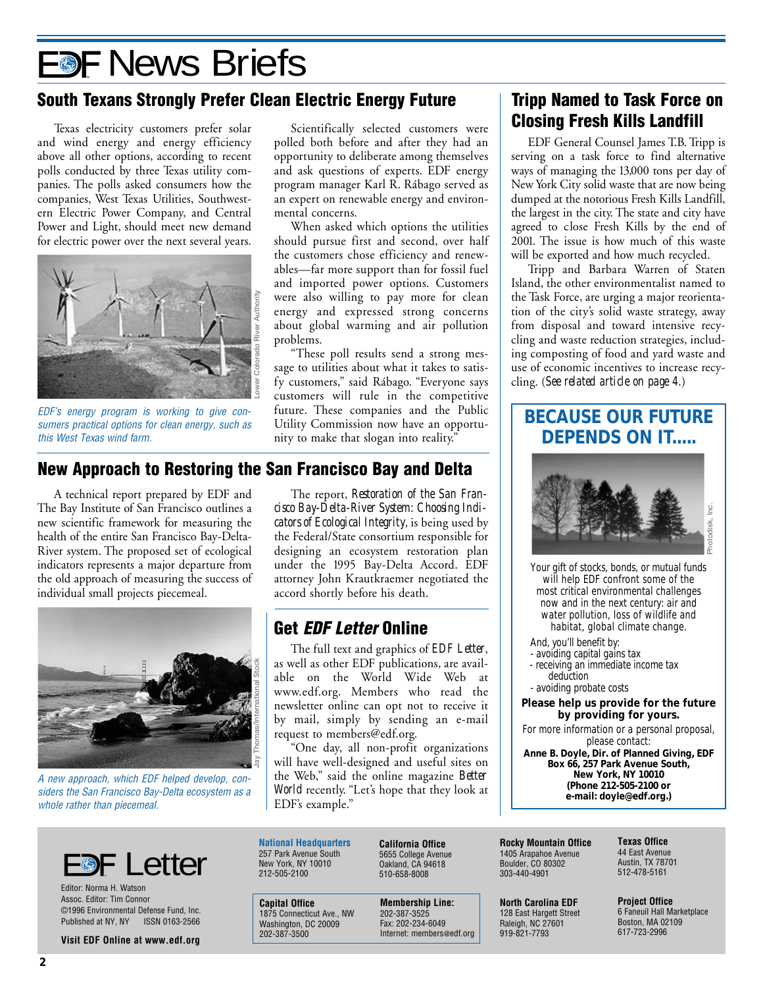# **E®F News Briefs**

### **South Texans Strongly Prefer Clean Electric Energy Future**

Texas electricity customers prefer solar and wind energy and energy efficiency above all other options, according to recent polls conducted by three Texas utility companies. The polls asked consumers how the companies, West Texas Utilities, Southwestern Electric Power Company, and Central Power and Light, should meet new demand for electric power over the next several years.



EDF's energy program is working to give consumers practical options for clean energy, such as this West Texas wind farm.

Scientifically selected customers were polled both before and after they had an opportunity to deliberate among themselves and ask questions of experts. EDF energy program manager Karl R. Rábago served as an expert on renewable energy and environmental concerns.

When asked which options the utilities should pursue first and second, over half the customers chose efficiency and renewables—far more support than for fossil fuel and imported power options. Customers were also willing to pay more for clean energy and expressed strong concerns about global warming and air pollution problems.

"These poll results send a strong message to utilities about what it takes to satisfy customers," said Rábago. "Everyone says customers will rule in the competitive future. These companies and the Public Utility Commission now have an opportunity to make that slogan into reality."

### **New Approach to Restoring the San Francisco Bay and Delta**

A technical report prepared by EDF and The Bay Institute of San Francisco outlines a new scientific framework for measuring the health of the entire San Francisco Bay-Delta-River system. The proposed set of ecological indicators represents a major departure from the old approach of measuring the success of individual small projects piecemeal.



A new approach, which EDF helped develop, considers the San Francisco Bay-Delta ecosystem as a whole rather than piecemeal.

The report, *Restoration of the San Francisco Bay-Delta-River System: Choosing Indicators of Ecological Integrity*, is being used by the Federal/State consortium responsible for designing an ecosystem restoration plan under the 1995 Bay-Delta Accord. EDF attorney John Krautkraemer negotiated the accord shortly before his death.

## **Get EDF Letter Online**

The full text and graphics of *EDF Letter*, as well as other EDF publications, are available on the World Wide Web at www.edf.org. Members who read the newsletter online can opt not to receive it by mail, simply by sending an e-mail request to members@edf.org.

"One day, all non-profit organizations will have well-designed and useful sites on the Web," said the online magazine *Better World* recently. "Let's hope that they look at EDF's example."

## **Tripp Named to Task Force on Closing Fresh Kills Landfill**

EDF General Counsel James T.B. Tripp is serving on a task force to find alternative ways of managing the 13,000 tons per day of New York City solid waste that are now being dumped at the notorious Fresh Kills Landfill, the largest in the city. The state and city have agreed to close Fresh Kills by the end of 2001. The issue is how much of this waste will be exported and how much recycled.

Tripp and Barbara Warren of Staten Island, the other environmentalist named to the Task Force, are urging a major reorientation of the city's solid waste strategy, away from disposal and toward intensive recycling and waste reduction strategies, including composting of food and yard waste and use of economic incentives to increase recycling. (*See related article on page 4.*)

## **BECAUSE OUR FUTURE DEPENDS ON IT.....**



Your gift of stocks, bonds, or mutual funds will help EDF confront some of the most critical environmental challenges now and in the next century: air and water pollution, loss of wildlife and habitat, global climate change.

And, you'll benefit by: - avoiding capital gains tax - receiving an immediate income tax deduction - avoiding probate costs

**Please help us provide for the future by providing for yours.**

For more information or a personal proposal, please contact:

**Anne B. Doyle, Dir. of Planned Giving, EDF Box 66, 257 Park Avenue South, New York, NY 10010 (Phone 212-505-2100 or e-mail: doyle@edf.org.)**



Editor: Norma H. Watson Assoc. Editor: Tim Connor ©1996 Environmental Defense Fund, Inc. Published at NY, NY ISSN 0163-2566

**Visit EDF Online at www.edf.org**

**National Headquarters** 257 Park Avenue South New York, NY 10010 212-505-2100

**Capital Office** 1875 Connecticut Ave., NW Washington, DC 20009 202-387-3500

**California Office** 5655 College Avenue Oakland, CA 94618 510-658-8008

**Membership Line:** 202-387-3525 Fax: 202-234-6049 Internet: members@edf.org

**Rocky Mountain Office** 1405 Arapahoe Avenue Boulder, CO 80302 303-440-4901

**North Carolina EDF** 128 East Hargett Street Raleigh, NC 27601 919-821-7793

**Texas Office** 44 East Avenue Austin, TX 78701 512-478-5161

**Project Office** 6 Faneuil Hall Marketplace Boston, MA 02109 617-723-2996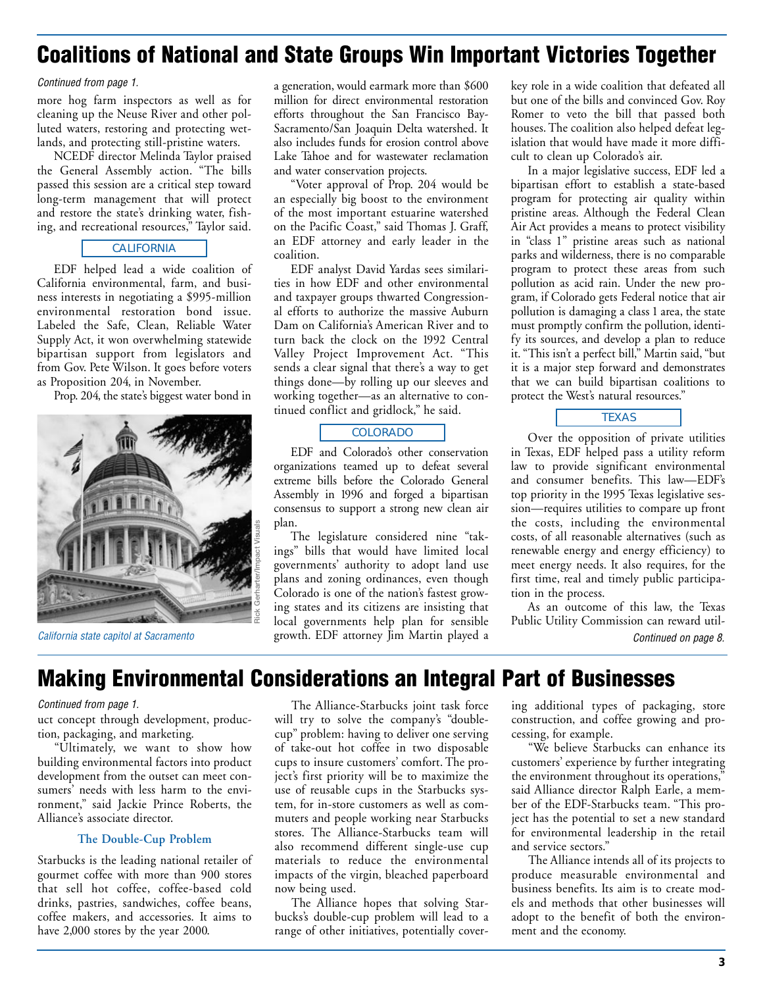## <span id="page-2-0"></span>**Coalitions of National and State Groups Win Important Victories Together**

Continued from page 1.

more hog farm inspectors as well as for cleaning up the Neuse River and other polluted waters, restoring and protecting wetlands, and protecting still-pristine waters.

NCEDF director Melinda Taylor praised the General Assembly action. "The bills passed this session are a critical step toward long-term management that will protect and restore the state's drinking water, fishing, and recreational resources," Taylor said.

#### CALIFORNIA

EDF helped lead a wide coalition of California environmental, farm, and business interests in negotiating a \$995-million environmental restoration bond issue. Labeled the Safe, Clean, Reliable Water Supply Act, it won overwhelming statewide bipartisan support from legislators and from Gov. Pete Wilson. It goes before voters as Proposition 204, in November.

Prop. 204, the state's biggest water bond in



California state capitol at Sacramento

a generation, would earmark more than \$600 million for direct environmental restoration efforts throughout the San Francisco Bay-Sacramento/San Joaquin Delta watershed. It also includes funds for erosion control above Lake Tahoe and for wastewater reclamation and water conservation projects.

"Voter approval of Prop. 204 would be an especially big boost to the environment of the most important estuarine watershed on the Pacific Coast," said Thomas J. Graff, an EDF attorney and early leader in the coalition.

EDF analyst David Yardas sees similarities in how EDF and other environmental and taxpayer groups thwarted Congressional efforts to authorize the massive Auburn Dam on California's American River and to turn back the clock on the 1992 Central Valley Project Improvement Act. "This sends a clear signal that there's a way to get things done—by rolling up our sleeves and working together—as an alternative to continued conflict and gridlock," he said.

#### COLORADO

EDF and Colorado's other conservation organizations teamed up to defeat several extreme bills before the Colorado General Assembly in 1996 and forged a bipartisan consensus to support a strong new clean air plan.

The legislature considered nine "takings" bills that would have limited local governments' authority to adopt land use plans and zoning ordinances, even though Colorado is one of the nation's fastest growing states and its citizens are insisting that local governments help plan for sensible growth. EDF attorney Jim Martin played a

key role in a wide coalition that defeated all but one of the bills and convinced Gov. Roy Romer to veto the bill that passed both houses. The coalition also helped defeat legislation that would have made it more difficult to clean up Colorado's air.

In a major legislative success, EDF led a bipartisan effort to establish a state-based program for protecting air quality within pristine areas. Although the Federal Clean Air Act provides a means to protect visibility in "class 1" pristine areas such as national parks and wilderness, there is no comparable program to protect these areas from such pollution as acid rain. Under the new program, if Colorado gets Federal notice that air pollution is damaging a class 1 area, the state must promptly confirm the pollution, identify its sources, and develop a plan to reduce it. "This isn't a perfect bill," Martin said, "but it is a major step forward and demonstrates that we can build bipartisan coalitions to protect the West's natural resources."



Over the opposition of private utilities in Texas, EDF helped pass a utility reform law to provide significant environmental and consumer benefits. This law—EDF's top priority in the 1995 Texas legislative session—requires utilities to compare up front the costs, including the environmental costs, of all reasonable alternatives (such as renewable energy and energy efficiency) to meet energy needs. It also requires, for the first time, real and timely public participation in the process.

[Continued on page 8.](#page-7-0) As an outcome of this law, the Texas Public Utility Commission can reward util-

## **Making Environmental Considerations an Integral Part of Businesses**

#### Continued from page 1.

uct concept through development, production, packaging, and marketing.

"Ultimately, we want to show how building environmental factors into product development from the outset can meet consumers' needs with less harm to the environment," said Jackie Prince Roberts, the Alliance's associate director.

#### **The Double-Cup Problem**

Starbucks is the leading national retailer of gourmet coffee with more than 900 stores that sell hot coffee, coffee-based cold drinks, pastries, sandwiches, coffee beans, coffee makers, and accessories. It aims to have 2,000 stores by the year 2000.

The Alliance-Starbucks joint task force will try to solve the company's "doublecup" problem: having to deliver one serving of take-out hot coffee in two disposable cups to insure customers' comfort. The project's first priority will be to maximize the use of reusable cups in the Starbucks system, for in-store customers as well as commuters and people working near Starbucks stores. The Alliance-Starbucks team will also recommend different single-use cup materials to reduce the environmental impacts of the virgin, bleached paperboard now being used.

The Alliance hopes that solving Starbucks's double-cup problem will lead to a range of other initiatives, potentially covering additional types of packaging, store construction, and coffee growing and processing, for example.

"We believe Starbucks can enhance its customers' experience by further integrating the environment throughout its operations," said Alliance director Ralph Earle, a member of the EDF-Starbucks team. "This project has the potential to set a new standard for environmental leadership in the retail and service sectors."

The Alliance intends all of its projects to produce measurable environmental and business benefits. Its aim is to create models and methods that other businesses will adopt to the benefit of both the environment and the economy.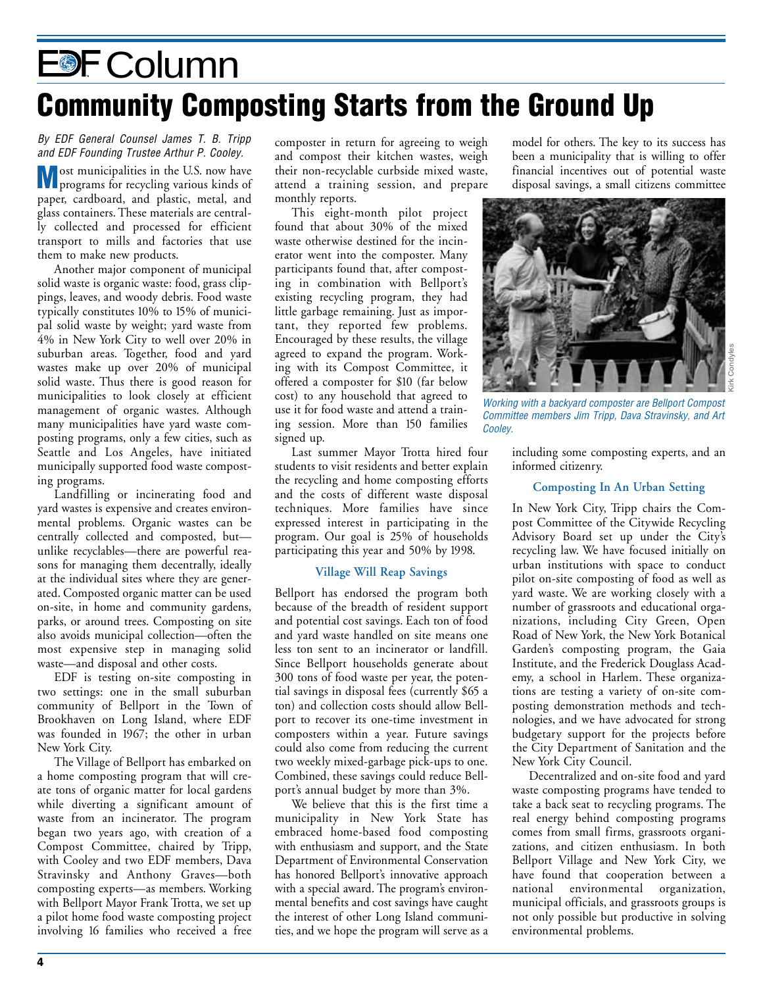# <span id="page-3-0"></span>E<sup>®</sup>F Column **Community Composting Starts from the Ground Up**

By EDF General Counsel James T. B. Tripp and EDF Founding Trustee Arthur P. Cooley.

**M** ost municipalities in the U.S. now have<br>programs for recycling various kinds of paper, cardboard, and plastic, metal, and glass containers. These materials are centrally collected and processed for efficient transport to mills and factories that use them to make new products.

Another major component of municipal solid waste is organic waste: food, grass clippings, leaves, and woody debris. Food waste typically constitutes 10% to 15% of municipal solid waste by weight; yard waste from 4% in New York City to well over 20% in suburban areas. Together, food and yard wastes make up over 20% of municipal solid waste. Thus there is good reason for municipalities to look closely at efficient management of organic wastes. Although many municipalities have yard waste composting programs, only a few cities, such as Seattle and Los Angeles, have initiated municipally supported food waste composting programs.

Landfilling or incinerating food and yard wastes is expensive and creates environmental problems. Organic wastes can be centrally collected and composted, but unlike recyclables—there are powerful reasons for managing them decentrally, ideally at the individual sites where they are generated. Composted organic matter can be used on-site, in home and community gardens, parks, or around trees. Composting on site also avoids municipal collection—often the most expensive step in managing solid waste—and disposal and other costs.

EDF is testing on-site composting in two settings: one in the small suburban community of Bellport in the Town of Brookhaven on Long Island, where EDF was founded in 1967; the other in urban New York City.

The Village of Bellport has embarked on a home composting program that will create tons of organic matter for local gardens while diverting a significant amount of waste from an incinerator. The program began two years ago, with creation of a Compost Committee, chaired by Tripp, with Cooley and two EDF members, Dava Stravinsky and Anthony Graves—both composting experts—as members. Working with Bellport Mayor Frank Trotta, we set up a pilot home food waste composting project involving 16 families who received a free

composter in return for agreeing to weigh and compost their kitchen wastes, weigh their non-recyclable curbside mixed waste, attend a training session, and prepare monthly reports.

This eight-month pilot project found that about 30% of the mixed waste otherwise destined for the incinerator went into the composter. Many participants found that, after composting in combination with Bellport's existing recycling program, they had little garbage remaining. Just as important, they reported few problems. Encouraged by these results, the village agreed to expand the program. Working with its Compost Committee, it offered a composter for \$10 (far below cost) to any household that agreed to use it for food waste and attend a training session. More than 150 families signed up.

Last summer Mayor Trotta hired four students to visit residents and better explain the recycling and home composting efforts and the costs of different waste disposal techniques. More families have since expressed interest in participating in the program. Our goal is 25% of households participating this year and 50% by 1998.

#### **Village Will Reap Savings**

Bellport has endorsed the program both because of the breadth of resident support and potential cost savings. Each ton of food and yard waste handled on site means one less ton sent to an incinerator or landfill. Since Bellport households generate about 300 tons of food waste per year, the potential savings in disposal fees (currently \$65 a ton) and collection costs should allow Bellport to recover its one-time investment in composters within a year. Future savings could also come from reducing the current two weekly mixed-garbage pick-ups to one. Combined, these savings could reduce Bellport's annual budget by more than 3%.

We believe that this is the first time a municipality in New York State has embraced home-based food composting with enthusiasm and support, and the State Department of Environmental Conservation has honored Bellport's innovative approach with a special award. The program's environmental benefits and cost savings have caught the interest of other Long Island communities, and we hope the program will serve as a

model for others. The key to its success has been a municipality that is willing to offer financial incentives out of potential waste disposal savings, a small citizens committee



Working with a backyard composter are Bellport Compost Committee members Jim Tripp, Dava Stravinsky, and Art Cooley.

including some composting experts, and an informed citizenry.

#### **Composting In An Urban Setting**

In New York City, Tripp chairs the Compost Committee of the Citywide Recycling Advisory Board set up under the City's recycling law. We have focused initially on urban institutions with space to conduct pilot on-site composting of food as well as yard waste. We are working closely with a number of grassroots and educational organizations, including City Green, Open Road of New York, the New York Botanical Garden's composting program, the Gaia Institute, and the Frederick Douglass Academy, a school in Harlem. These organizations are testing a variety of on-site composting demonstration methods and technologies, and we have advocated for strong budgetary support for the projects before the City Department of Sanitation and the New York City Council.

Decentralized and on-site food and yard waste composting programs have tended to take a back seat to recycling programs. The real energy behind composting programs comes from small firms, grassroots organizations, and citizen enthusiasm. In both Bellport Village and New York City, we have found that cooperation between a national environmental organization, municipal officials, and grassroots groups is not only possible but productive in solving environmental problems.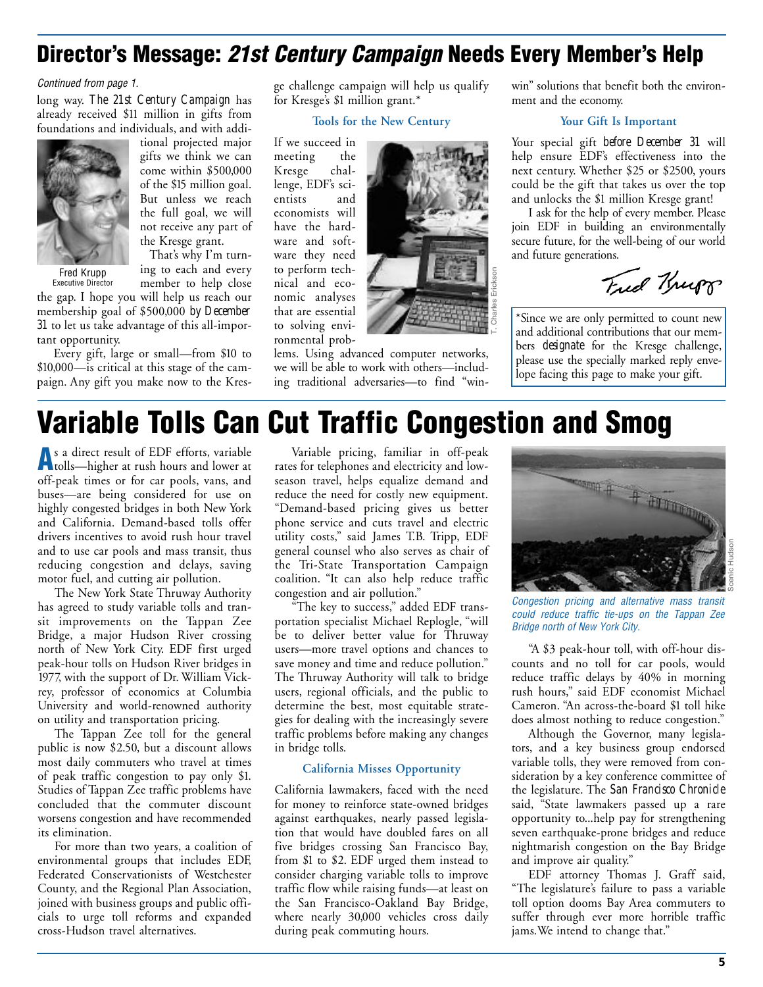## <span id="page-4-0"></span>**Director's Message: 21st Century Campaign Needs Every Member's Help**

#### Continued from page 1.

long way. *The 21st Century Campaign* has already received \$11 million in gifts from foundations and individuals, and with addi-



tional projected major gifts we think we can come within \$500,000 of the \$15 million goal. But unless we reach the full goal, we will not receive any part of

Fred Krupp Executive Director the Kresge grant. That's why I'm turning to each and every

member to help close

the gap. I hope you will help us reach our membership goal of \$500,000 *by December 31* to let us take advantage of this all-important opportunity.

Every gift, large or small—from \$10 to \$10,000—is critical at this stage of the campaign. Any gift you make now to the Kresge challenge campaign will help us qualify for Kresge's \$1 million grant.\*

**Tools for the New Century**

If we succeed in meeting the Kresge challenge, EDF's scientists and economists will have the hardware and software they need to perform technical and economic analyses that are essential to solving environmental prob-



lems. Using advanced computer networks, we will be able to work with others—including traditional adversaries—to find "winwin" solutions that benefit both the environment and the economy.

#### **Your Gift Is Important**

Your special gift *before December 31* will help ensure EDF's effectiveness into the next century. Whether \$25 or \$2500, yours could be the gift that takes us over the top and unlocks the \$1 million Kresge grant!

I ask for the help of every member. Please join EDF in building an environmentally secure future, for the well-being of our world and future generations.

Trid Krupp

\*Since we are only permitted to count new and additional contributions that our members *designate* for the Kresge challenge, please use the specially marked reply envelope facing this page to make your gift.

## **Variable Tolls Can Cut Traffic Congestion and Smog**

**A**s a direct result of EDF efforts, variable tolls—higher at rush hours and lower at off-peak times or for car pools, vans, and buses—are being considered for use on highly congested bridges in both New York and California. Demand-based tolls offer drivers incentives to avoid rush hour travel and to use car pools and mass transit, thus reducing congestion and delays, saving motor fuel, and cutting air pollution.

The New York State Thruway Authority has agreed to study variable tolls and transit improvements on the Tappan Zee Bridge, a major Hudson River crossing north of New York City. EDF first urged peak-hour tolls on Hudson River bridges in 1977, with the support of Dr. William Vickrey, professor of economics at Columbia University and world-renowned authority on utility and transportation pricing.

The Tappan Zee toll for the general public is now \$2.50, but a discount allows most daily commuters who travel at times of peak traffic congestion to pay only \$1. Studies of Tappan Zee traffic problems have concluded that the commuter discount worsens congestion and have recommended its elimination.

For more than two years, a coalition of environmental groups that includes EDF, Federated Conservationists of Westchester County, and the Regional Plan Association, joined with business groups and public officials to urge toll reforms and expanded cross-Hudson travel alternatives.

Variable pricing, familiar in off-peak rates for telephones and electricity and lowseason travel, helps equalize demand and reduce the need for costly new equipment. "Demand-based pricing gives us better phone service and cuts travel and electric utility costs," said James T.B. Tripp, EDF general counsel who also serves as chair of the Tri-State Transportation Campaign coalition. "It can also help reduce traffic congestion and air pollution."

"The key to success," added EDF transportation specialist Michael Replogle, "will be to deliver better value for Thruway users—more travel options and chances to save money and time and reduce pollution." The Thruway Authority will talk to bridge users, regional officials, and the public to determine the best, most equitable strategies for dealing with the increasingly severe traffic problems before making any changes in bridge tolls.

#### **California Misses Opportunity**

California lawmakers, faced with the need for money to reinforce state-owned bridges against earthquakes, nearly passed legislation that would have doubled fares on all five bridges crossing San Francisco Bay, from \$1 to \$2. EDF urged them instead to consider charging variable tolls to improve traffic flow while raising funds—at least on the San Francisco-Oakland Bay Bridge, where nearly 30,000 vehicles cross daily during peak commuting hours.



Congestion pricing and alternative mass transit could reduce traffic tie-ups on the Tappan Zee Bridge north of New York City.

"A \$3 peak-hour toll, with off-hour discounts and no toll for car pools, would reduce traffic delays by 40% in morning rush hours," said EDF economist Michael Cameron. "An across-the-board \$1 toll hike does almost nothing to reduce congestion."

Although the Governor, many legislators, and a key business group endorsed variable tolls, they were removed from consideration by a key conference committee of the legislature. The *San Francisco Chronicle* said, "State lawmakers passed up a rare opportunity to...help pay for strengthening seven earthquake-prone bridges and reduce nightmarish congestion on the Bay Bridge and improve air quality."

EDF attorney Thomas J. Graff said, "The legislature's failure to pass a variable toll option dooms Bay Area commuters to suffer through ever more horrible traffic jams.We intend to change that."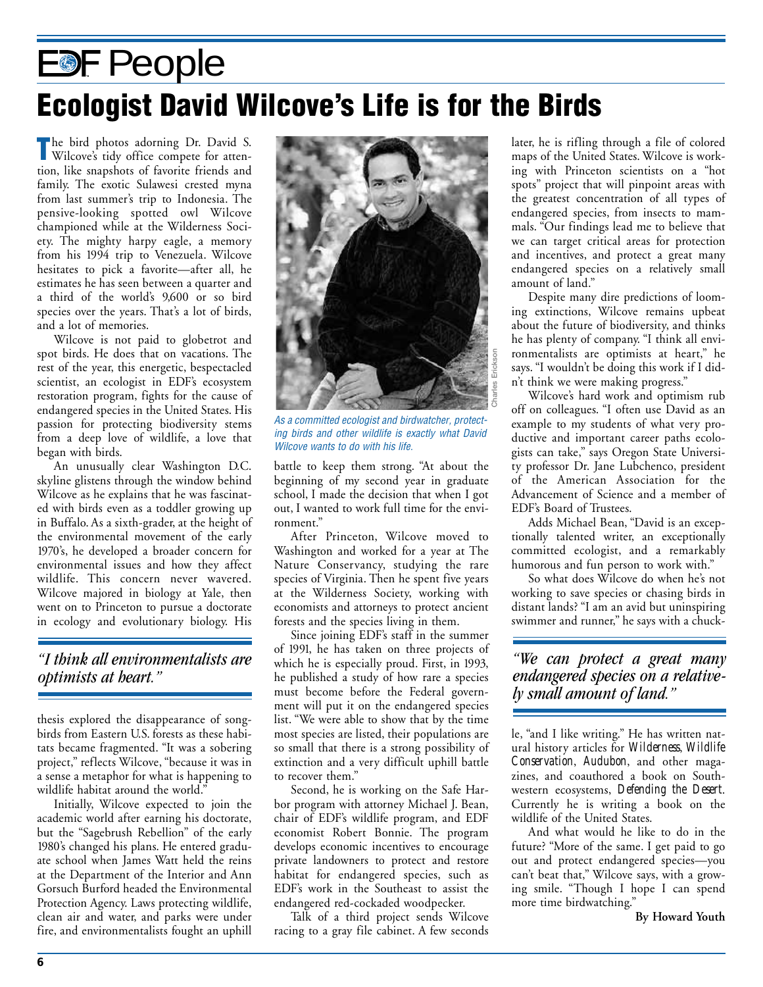# <span id="page-5-0"></span>**EDF People Ecologist David Wilcove's Life is for the Birds**

**T**he bird photos adorning Dr. David S. Wilcove's tidy office compete for attention, like snapshots of favorite friends and family. The exotic Sulawesi crested myna from last summer's trip to Indonesia. The pensive-looking spotted owl Wilcove championed while at the Wilderness Society. The mighty harpy eagle, a memory from his 1994 trip to Venezuela. Wilcove hesitates to pick a favorite—after all, he estimates he has seen between a quarter and a third of the world's 9,600 or so bird species over the years. That's a lot of birds, and a lot of memories.

Wilcove is not paid to globetrot and spot birds. He does that on vacations. The rest of the year, this energetic, bespectacled scientist, an ecologist in EDF's ecosystem restoration program, fights for the cause of endangered species in the United States. His passion for protecting biodiversity stems from a deep love of wildlife, a love that began with birds.

An unusually clear Washington D.C. skyline glistens through the window behind Wilcove as he explains that he was fascinated with birds even as a toddler growing up in Buffalo. As a sixth-grader, at the height of the environmental movement of the early 1970's, he developed a broader concern for environmental issues and how they affect wildlife. This concern never wavered. Wilcove majored in biology at Yale, then went on to Princeton to pursue a doctorate in ecology and evolutionary biology. His

#### *"I think all environmentalists are optimists at heart."*

thesis explored the disappearance of songbirds from Eastern U.S. forests as these habitats became fragmented. "It was a sobering project," reflects Wilcove, "because it was in a sense a metaphor for what is happening to wildlife habitat around the world."

Initially, Wilcove expected to join the academic world after earning his doctorate, but the "Sagebrush Rebellion" of the early 1980's changed his plans. He entered graduate school when James Watt held the reins at the Department of the Interior and Ann Gorsuch Burford headed the Environmental Protection Agency. Laws protecting wildlife, clean air and water, and parks were under fire, and environmentalists fought an uphill



As a committed ecologist and birdwatcher, protecting birds and other wildlife is exactly what David Wilcove wants to do with his life.

battle to keep them strong. "At about the beginning of my second year in graduate school, I made the decision that when I got out, I wanted to work full time for the environment."

After Princeton, Wilcove moved to Washington and worked for a year at The Nature Conservancy, studying the rare species of Virginia. Then he spent five years at the Wilderness Society, working with economists and attorneys to protect ancient forests and the species living in them.

Since joining EDF's staff in the summer of 1991, he has taken on three projects of which he is especially proud. First, in 1993, he published a study of how rare a species must become before the Federal government will put it on the endangered species list. "We were able to show that by the time most species are listed, their populations are so small that there is a strong possibility of extinction and a very difficult uphill battle to recover them."

Second, he is working on the Safe Harbor program with attorney Michael J. Bean, chair of EDF's wildlife program, and EDF economist Robert Bonnie. The program develops economic incentives to encourage private landowners to protect and restore habitat for endangered species, such as EDF's work in the Southeast to assist the endangered red-cockaded woodpecker.

Talk of a third project sends Wilcove racing to a gray file cabinet. A few seconds later, he is rifling through a file of colored maps of the United States. Wilcove is working with Princeton scientists on a "hot spots" project that will pinpoint areas with the greatest concentration of all types of endangered species, from insects to mammals. "Our findings lead me to believe that we can target critical areas for protection and incentives, and protect a great many endangered species on a relatively small amount of land."

Despite many dire predictions of looming extinctions, Wilcove remains upbeat about the future of biodiversity, and thinks he has plenty of company. "I think all environmentalists are optimists at heart," he says. "I wouldn't be doing this work if I didn't think we were making progress."

Wilcove's hard work and optimism rub off on colleagues. "I often use David as an example to my students of what very productive and important career paths ecologists can take," says Oregon State University professor Dr. Jane Lubchenco, president of the American Association for the Advancement of Science and a member of EDF's Board of Trustees.

Adds Michael Bean, "David is an exceptionally talented writer, an exceptionally committed ecologist, and a remarkably humorous and fun person to work with."

So what does Wilcove do when he's not working to save species or chasing birds in distant lands? "I am an avid but uninspiring swimmer and runner," he says with a chuck-

#### *"We can protect a great many endangered species on a relatively small amount of land."*

le, "and I like writing." He has written natural history articles for *Wilderness*, *Wildlife Conservation*, *Audubon*, and other magazines, and coauthored a book on Southwestern ecosystems, *Defending the Desert*. Currently he is writing a book on the wildlife of the United States.

And what would he like to do in the future? "More of the same. I get paid to go out and protect endangered species—you can't beat that," Wilcove says, with a growing smile. "Though I hope I can spend more time birdwatching."

**By Howard Youth**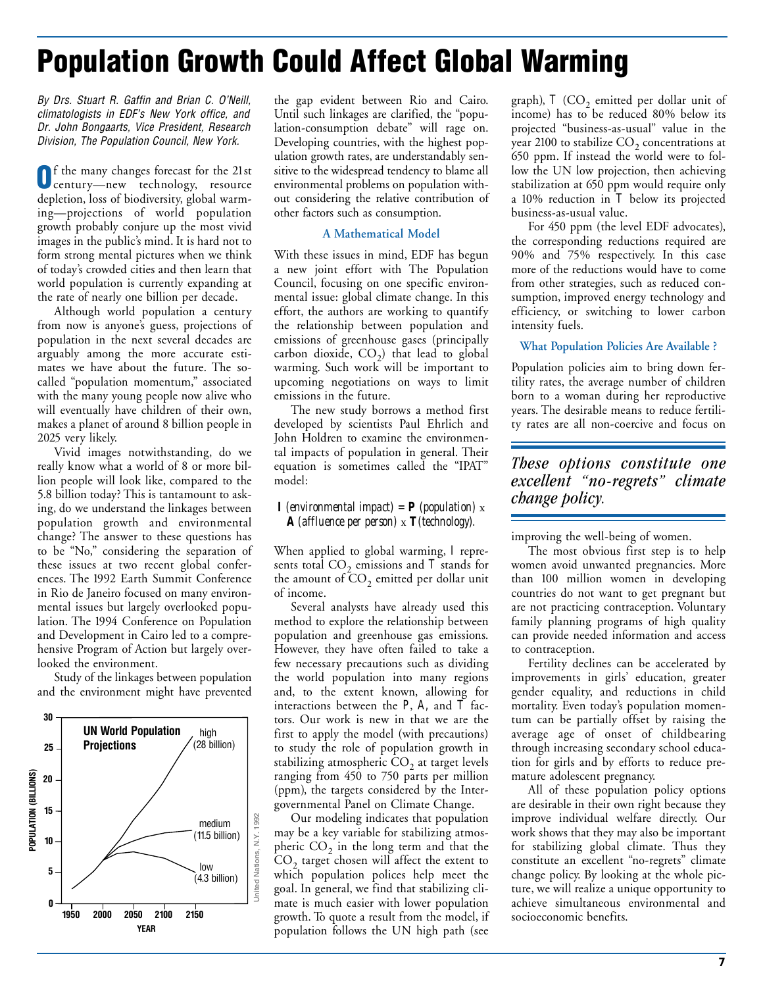## <span id="page-6-0"></span>**Population Growth Could Affect Global Warming**

By Drs. Stuart R. Gaffin and Brian C. O'Neill, climatologists in EDF's New York office, and Dr. John Bongaarts, Vice President, Research Division, The Population Council, New York.

**O**f the many changes forecast for the 21st century—new technology, resource depletion, loss of biodiversity, global warming—projections of world population growth probably conjure up the most vivid images in the public's mind. It is hard not to form strong mental pictures when we think of today's crowded cities and then learn that world population is currently expanding at the rate of nearly one billion per decade.

Although world population a century from now is anyone's guess, projections of population in the next several decades are arguably among the more accurate estimates we have about the future. The socalled "population momentum," associated with the many young people now alive who will eventually have children of their own, makes a planet of around 8 billion people in 2025 very likely.

Vivid images notwithstanding, do we really know what a world of 8 or more billion people will look like, compared to the 5.8 billion today? This is tantamount to asking, do we understand the linkages between population growth and environmental change? The answer to these questions has to be "No," considering the separation of these issues at two recent global conferences. The 1992 Earth Summit Conference in Rio de Janeiro focused on many environmental issues but largely overlooked population. The 1994 Conference on Population and Development in Cairo led to a comprehensive Program of Action but largely overlooked the environment.

Study of the linkages between population and the environment might have prevented



the gap evident between Rio and Cairo. Until such linkages are clarified, the "population-consumption debate" will rage on. Developing countries, with the highest population growth rates, are understandably sensitive to the widespread tendency to blame all environmental problems on population without considering the relative contribution of other factors such as consumption.

#### **A Mathematical Model**

With these issues in mind, EDF has begun a new joint effort with The Population Council, focusing on one specific environmental issue: global climate change. In this effort, the authors are working to quantify the relationship between population and emissions of greenhouse gases (principally carbon dioxide,  $CO<sub>2</sub>$ ) that lead to global warming. Such work will be important to upcoming negotiations on ways to limit emissions in the future.

The new study borrows a method first developed by scientists Paul Ehrlich and John Holdren to examine the environmental impacts of population in general. Their equation is sometimes called the "IPAT" model:

#### *<i>I* (environmental impact) = *P* (population)  $x$ *A (affluence per person)* x *T(technology).*

When applied to global warming, *I* represents total  $\mathrm{CO}_2$  emissions and  $\mathit{T}$  stands for the amount of  $\mathrm{CO}_2$  emitted per dollar unit of income.

Several analysts have already used this method to explore the relationship between population and greenhouse gas emissions. However, they have often failed to take a few necessary precautions such as dividing the world population into many regions and, to the extent known, allowing for interactions between the  $P$ ,  $A$ , and  $\overline{T}$  factors. Our work is new in that we are the first to apply the model (with precautions) to study the role of population growth in stabilizing atmospheric  $CO<sub>2</sub>$  at target levels ranging from 450 to 750 parts per million (ppm), the targets considered by the Intergovernmental Panel on Climate Change.

Our modeling indicates that population may be a key variable for stabilizing atmospheric  $CO<sub>2</sub>$  in the long term and that the CO<sub>2</sub> target chosen will affect the extent to which population polices help meet the goal. In general, we find that stabilizing climate is much easier with lower population growth. To quote a result from the model, if population follows the UN high path (see graph),  $T$  (CO<sub>2</sub> emitted per dollar unit of income) has to be reduced 80% below its projected "business-as-usual" value in the year 2100 to stabilize  $CO<sub>2</sub>$  concentrations at 650 ppm. If instead the world were to follow the UN low projection, then achieving stabilization at 650 ppm would require only a 10% reduction in *T* below its projected business-as-usual value.

For 450 ppm (the level EDF advocates), the corresponding reductions required are 90% and 75% respectively. In this case more of the reductions would have to come from other strategies, such as reduced consumption, improved energy technology and efficiency, or switching to lower carbon intensity fuels.

#### **What Population Policies Are Available ?**

Population policies aim to bring down fertility rates, the average number of children born to a woman during her reproductive years. The desirable means to reduce fertility rates are all non-coercive and focus on

#### *These options constitute one excellent "no-regrets" climate change policy.*

improving the well-being of women.

The most obvious first step is to help women avoid unwanted pregnancies. More than 100 million women in developing countries do not want to get pregnant but are not practicing contraception. Voluntary family planning programs of high quality can provide needed information and access to contraception.

Fertility declines can be accelerated by improvements in girls' education, greater gender equality, and reductions in child mortality. Even today's population momentum can be partially offset by raising the average age of onset of childbearing through increasing secondary school education for girls and by efforts to reduce premature adolescent pregnancy.

All of these population policy options are desirable in their own right because they improve individual welfare directly. Our work shows that they may also be important for stabilizing global climate. Thus they constitute an excellent "no-regrets" climate change policy. By looking at the whole picture, we will realize a unique opportunity to achieve simultaneous environmental and socioeconomic benefits.